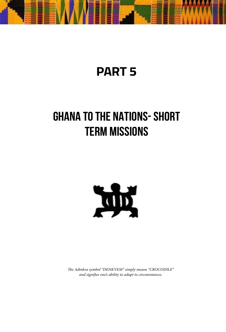

## **PART 5**

# **GHANA TO THE NATIONS- SHORT TERM MISSIONS**



*The Adinkra symbol "DENKYEM" simply means "CROCODILE" and signifies one's ability to adapt to circumstances.*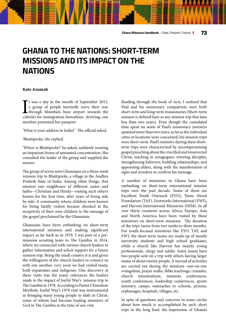### **GHANA TO THE NATIONS: SHORT-TERM MISSIONS AND ITS IMPACT ON THE NATIONS**

#### **Kate Azumah**

I<sub>cub</sub> t was a day in the month of September 2012, a group of people hurriedly wove their way through Mumbai's busy airport towards the cubicles for immigration formalities. Arriving, one member presented her passport.

'What is your address in India?' The official asked.

'Bhattiprolu,' she replied.

'Where is Bhattiprolu?' he asked, suddenly wearing an impatient frown of unwanted concentration. She consulted the leader of the group and supplied the answer.

The group of seven were Ghanaians on a three-week mission trip to Bhattiprolu, a village in the Andhra Pradesh State of India. Among other things, that mission saw neighbours of different castes and faiths—Christian and Hindu—visiting each other's homes for the first time, after years of living side by side. A community whose children were known for being fatally violent became shocked at the receptivity of their own children to the message of the gospel proclaimed by the Ghanaians.

Ghanaians have been embarking on short-term international missions and making significant impact as far back as in 1978. I was part of a premissions scouting team to The Gambia in 2014, where we connected with various church leaders to gather information and solicit support for a future mission trip. Being the small country it is and given the willingness of the church leaders to connect us with one another, very soon we had visited many, both expatriates and indigenes. One discovery at these visits was the many references the leaders made to the impact of Joyful Way's mission trip to The Gambia in 1978. According to Pastor Chinedum Meribole, Joyful Way's 1978 visit was instrumental in bringing many young people to faith in Christ, some of whom had become leading ministers of God in The Gambia at the time of our visit.

Reading through the book of Acts, I realized that Paul and his missionary compatriots were both short-term and long-term missionaries (Short-term mission is defined here as any mission trip that lasts less than two years). Even though the cumulated time spent on some of Paul's missionary journeys spanned more than two years, as far as the individual cities or locations were concerned, his mission trips were short-term. Paul's ministry during these shortterm trips were characterized by uncompromising gospel preaching about the crucified and resurrected Christ, teaching in synagogues, winning disciples, strengthening believers, building relationships, and appointing elders, along with the manifestation of signs and wonders to confirm his message.

A number of ministries in Ghana have been embarking on short-term international mission trips over the past decade. Some of them are Excellent Youth Outreach (EYO), Teens Aloud Foundation (TAF), Footworks International (FWI), and Harvest International Ministries (HIM). In all over thirty countries across Africa, Europe, Asia and North America have been visited by these ministries on short-term missions. The duration of the trips varies from two weeks to three months. For youth-focused ministries like EYO, TAF, and FWI, the short-term teams are made up of mostly university students and high school graduates, while a church like Harvest has mainly young professionals, clergy and adults. Some teams have two people sent on a trip with others having larger teams of about twenty people. A myriad of activities are carried out during the missions--one-on-one evangelism, prayer walks, Bible teachings, crusades, church ministrations, missions conferences, youth conferences, leadership conferences, sports ministry, camps, outreaches to schools, prisons, orphanages, hospitals, villages, etc.

In spite of questions and concerns in some circles about how much is accomplished by such short trips in the long haul, the impression of Ghana's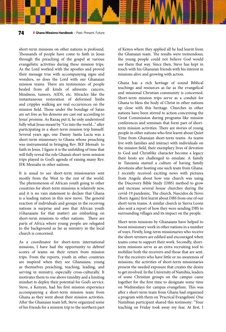short-term missions on other nations is profound. Thousands of people have come to faith in Jesus through the preaching of the gospel at various evangelistic activities during these mission trips. As the Lord worked with the apostles and proved their message true with accompanying signs and wonders, so does the Lord with our Ghanaian mission teams. There are testimonies of people healed from all kinds of ailments: cancers, blindness, tumors, AIDS, etc. Miracles like the instantaneous restoration of deformed limbs and cripples walking are real occurrences on the mission field. Those under the bondage of Satan are set free as his demons are cast out according to Jesus' promise. As Razaq put it, he only understood fully what Jesus meant by "Go into the world..." after participating in a short-term mission trip himself. Several years ago, one Danny Santa Lucia was a short-term missionary to Ghana whose preaching was instrumental in bringing Rev. JKF Mensah to faith in Jesus. I figure it is the unfolding of time that will fully reveal the role Ghana's short-term mission trips played in God's agenda of raising many Rev. JFK Mensahs in other nations.

It is usual to see short-term missionaries sent mostly from the West to the rest of the world. The phenomenon of African youth going to other countries for short-term missions is relatively new, and it is no vain statement to declare that Ghana is a leading nation in this new move. The general reaction of individuals and groups in the receiving nations is surprise and awe that African youth (Ghanaians for that matter) are embarking on short-term missions to other nations. There are parts of Africa where young people are relegated to the background as far as ministry in the local church is concerned.

As a coordinator for short-term international missions, I have had the opportunity to debrief scores of teams on their return from mission trips. From the reports, youth in other countries are inspired when they see Ghanaians, young as themselves preaching, teaching, leading, and serving in ministry, especially cross-culturally. It motivates them to rise above timidity and a limiting mindset to deploy their potential for God's service. Steve, a Kenyan, had his first mission experience accompanying a short-term mission team from Ghana as they went about their mission activities. After the Ghanaian team left, Steve organized some of his friends for a mission trip to the northern part

of Kenya where they applied all he had learnt from the Ghanaian team. The results were tremendous; the young people could not believe God would use them that way. Since then, Steve has kept in touch with his Ghanaian friends with his interest in missions alive and growing with action.

Ghana has a rich heritage of sound Biblical teachings and resources as far as the evangelical and missional Christian community is concerned. Short-term mission trips serve as a conduit for Ghana to bless the body of Christ in other nations up close with this heritage. Churches in other nations have been stirred to action concerning the Great Commission during programs like mission conferences and seminars that form part of shortterm mission activities. There are stories of young people in other nations who first learnt about Quiet Time from Ghanaian short-term teams. As teams live with families and interact with individuals on the mission field, their exemplary lives of devotion to God and Christlike character become a legacy their hosts are challenged to emulate. A family in Tanzania started a culture of having family devotions after hosting one such team from Ghana. I recently received exciting news with pictures from Angola about how one church was using the Discovery Bible Study (DBS) method to grow and increase several house churches during the covid-19 pandemic. The church, Nascidos de Novo (Born Again) first learnt about DBS from one of our short-term teams. A similar church in Sierra Leone also sent a report of how they were sending DBS to surrounding villages and its impact on the people.

Short-term missions by Ghanaians have helped to boost missionary work in other nations in a number of ways. Firstly, long-term missionaries who receive the short-termers are edified and encouraged when teams come to support their work. Secondly, shortterm missions serve as an extra recruiting tool to mobilize both the receivers and those that are sent. For the receivers who have little or no awareness of missions, the activities of short-term missionaries present the needed exposure that creates the desire to get involved. In the University of Namibia, leaders of some Christian groups on the campus came together for the first time to designate some time on Wednesdays for campus evangelism. This was after s short-term team from Ghana had organized a program with them on 'Practical Evangelism'. One Namibian participant shared this testimony: "Your teaching on Friday took away my fear. At first, I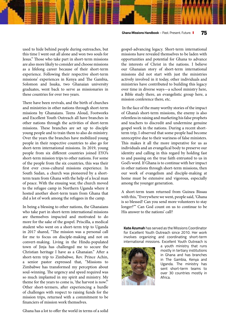**Ghana Missions Handbook** – Past. Present. Future. **75**

used to hide behind people during outreaches, but this time I went out all alone and won two souls for Jesus." Those who take part in short-term missions are also more likely to consider and choose missions as a lifelong career because of their short-term experience. Following their respective short-term missions' experiences in Kenya and The Gambia, Solomon and Issaka, two Ghanaian university graduates, went back to serve as missionaries in these countries for over two years.

There have been revivals, and the birth of churches and ministries in other nations through short-term missions by Ghanaians. Teens Aloud, Footworks and Excellent Youth Outreach all have branches in other nations through the activities of short-term missions. These branches are set up to disciple young people and to train them to also do ministry. Over the years the branches have mobilized young people in their respective countries to also go for short-term international missions. In 2019, young people from six different countries joined EYO's short-term mission trips to other nations. For some of the people from the six countries, this was their first ever cross-cultural missions experience. In South Sudan, a church was pioneered by a shortterm team from Ghana with the help of a local man of peace. With the ensuing war, the church moved to the refugee camp in Northern Uganda where it hosted another short-term team from Ghana that did a lot of work among the refugees in the camp.

In being a blessing to other nations, the Ghanaians who take part in short-term international missions are themselves impacted and motivated to do more for the sake of the gospel. Priscilla, a medical student who went on a short-term trip to Uganda in 2017 shared, "The mission was a personal call for me to focus on disciple-making and not on convert-making. Living in the Hindu-populated town of Jinja has challenged me to secure the Christian heritage I have as a Ghanaian." After a short-term trip to Zimbabwe, Rev. Prince Achin, a senior pastor expressed that, "Missions to Zimbabwe has transformed my perception about soul-winning. The urgency and speed required was so much implanted in my spirit and ministry. My theme for the years to come is, 'the harvest is now'." Other short-termers, after experiencing a hurdle of challenges with respect to raising funds for the mission trips, returned with a commitment to be financiers of mission work themselves.

Ghana has a lot to offer the world in terms of a solid

gospel-advancing legacy. Short-term international missions have revealed themselves to be laden with opportunities and potential for Ghana to advance the interests of Christ in the nations. I believe our Ghanaian story of short-term international missions did not start with just the ministries actively involved in it today, other individuals and ministries have contributed to building this legacy over time in diverse ways—a school ministry here, a Bible study there, an evangelistic group here, a mission conference there, etc.

 In the face of the many worthy stories of the impact of Ghana's short-term missions, the enemy is also relentless in raising and marketing his false prophets and teachers to discredit and undermine genuine gospel work in the nations. During a recent shortterm trip, I observed that some people had become unreceptive due to their wariness of false ministers. This makes it all the more imperative for us as individuals and an evangelical body to preserve our identity and calling in this regard by holding fast to and passing on the true faith entrusted to us in God's word. If Ghana is to continue with her impact in other nations through short-term missions, then our work of evangelism and disciple-making at home must be extensive and vigorous, especially among the younger generation.

A short-term team returned from Guinea Bissau with this, "Everywhere we went, people said, 'Ghana is so blessed! Can you send more volunteers to stay longer?'" Can God count on us to continue to be His answer to the nations' call?

**Kate Azumah** has served as the Missions Coordinator for Excellent Youth Outreach since 2010. Her work involves organizing and coordinating short-term international missions. Excellent Youth Outreach is



a youth ministry that runs mostly in tertiary institutions in Ghana and has branches in The Gambia, Kenya and Uganda. The ministry has sent short-term teams to over 30 countries mostly in Africa.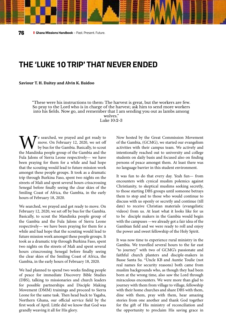### **THE 'LUKE 10 TRIP' THAT NEVER ENDED**

**Saviour T. H. Daitey and Alvin K. Baidoo**

"These were his instructions to them: The harvest is great, but the workers are few. So pray to the Lord who is in charge of the harvest; ask him to send more workers into his fields. Now go, and remember that I am sending you out as lambs among wolves."

Luke 10:2-3

e searched, we prayed and got ready to move. On February 12, 2020, we set off by bus for the Gambia. Basically, to scout the Mandinka people group of the Gambia and the Fula Jalons of Sierra Leone respectively— we have been praying for them for a while and had hope that the scouting would lead to future mission work amongst these people groups. It took as a dramatic trip through Burkina Faso, spent two nights on the streets of Mali and spent several hours crisscrossing Senegal before finally seeing the clear skies of the Smiling Coast of Africa, the Gambia, in the early hours of February 18, 2020.

We searched, we prayed and got ready to move. On February 12, 2020, we set off by bus for the Gambia. Basically, to scout the Mandinka people group of the Gambia and the Fula Jalons of Sierra Leone respectively— we have been praying for them for a while and had hope that the scouting would lead to future mission work amongst these people groups. It took as a dramatic trip through Burkina Faso, spent two nights on the streets of Mali and spent several hours crisscrossing Senegal before finally seeing the clear skies of the Smiling Coast of Africa, the Gambia, in the early hours of February 18, 2020.

We had planned to spend two weeks finding people of peace for immediate Discovery Bible Studies (DBS), talking to missionaries and church leaders for possible partnerships and Disciple Making Movement (DMM) trainings and proceed to Sierra Leone for the same task. Then head back to Yagaba, Northern Ghana, our official service field by the first week of April. Little did we know that God was grandly weaving it all for His glory.

Now hosted by the Great Commission Movement of the Gambia, (GCMG), we started our evangelism activities with their campus team. We actively and intentionally reached out to university and college students on daily basis and focused also on finding persons of peace amongst them. At least there was no language barrier in this student environment.

It was fun to do that every day. Yeah fun— from encounters with cynical muslim polemics against Christianity, to skeptical muslims seeking secretly, to those starting DBS groups until someone betrays them to stop and to those who would continue to discuss with us openly or secretly and continue (till date) to receive Christian materials (evangelistic videos) from us. At least what it looks like for us to be disciple makers in the Gambia would begin with the campuses —we already got a fair idea of the Gambian field and we were ready to roll and enjoy the power and sweet fellowship of the Holy Spirit.

It was now time to experience rural ministry in the Gambia. We travelled several hours to the far east "to journey" with two of GCMG's passionate and faithful church planters and disciple-makers in Basse Santa Su. \*Uncle KB and Auntie Toulie (not real names for security reasons) both came from muslim backgrounds who, as though they had been born at the wrong time, also saw the Lord through miraculous encounters. We were more than glad to journey with them from village to village, fellowship with their home churches and share DBS with them, dine with them, pray with them, hear amazing stories from one another and thank God together for the gift of His ministry of reconciliation and the opportunity to proclaim His saving grace in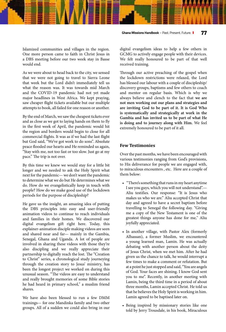Islamized communities and villages in the region. One more person came to faith in Christ Jesus in a DBS meeting before our two week stay in Basse would end.

As we were about to head back to the city, we sensed that we were not going to travel to Sierra Leone that week but the Lord didn't immediately tell us what the reason was. It was towards mid March and the COVID-19 pandemic had not yet made major headlines in West Africa. We kept praying, saw cheaper flight tickets available but our multiple attempts to book, all failed for one reason or another.

By the end of March, we saw the cheapest tickets ever and as close as we got to laying hands on them to fly in the first week of April, the pandemic would hit the region and borders would begin to close for all commercial flights. It was as if we had the last flight but God said, "We've got work to do sons". Absolute peace flooded our hearts and He reminded us again, "Stay with me, not too fast or too slow. Just go at my pace." The trip is not over.

By this time we knew we would stay for a little bit longer and we needed to ask the Holy Spirit what next for the pandemic— we don't want the pandemic to determine what we do but He determines what we do. How do we evangelistically keep in touch with people? How do we make good use of the lockdown periods for the purpose of discipleship?

He gave us the insight, an amazing idea of putting the DBS principles into easy and user-friendly animation videos to continue to reach individuals and families in their homes. We discovered our digital evangelism gift right here. Today, this explainer-animation disciple making videos are seen and shared near and far— mainly in the Gambia, Senegal, Ghana and Uganda. A lot of people are involved in sharing these videos with those they're also discipling and we really appreciate their partnership to digitally reach the lost. The "Creation to Christ" series, a chronological study journeying through the creation story to Jesus' ministry, has been the longest project we worked on during this unusual season. "The videos are easy to understand and really brought memories of some Bible stories he had heard in primary school," a muslim friend shares.

We have also been blessed to run a few DMM trainings— for one Mandinka family and two other groups. All of a sudden we could also bring in our digital evangelism ideas to help a few others in GCMG to actively engage people with their devices. We felt really honoured to be part of that well received training.

Through our active preaching of the gospel when the lockdown restrictions were relaxed, the Lord has blessed our labour with a couple of discipleship/ discovery groups, baptisms and few others to coach and mentor on regular basis. Which is why we always believe and clench to the fact that **we are not men working out our plans and strategies and are inviting God to be part of it. It is God Who is systematically and strategically at work in the Gambia and has invited us to be part of what He is doing and to journey along with Him.** We feel extremely honoured to be part of it all.

#### **Few Testimonies**

Over the past months, we have been encouraged with various testimonies ranging from God's provisions, to His deliverance for people we are engaged with, to miraculous encounters , etc. Here are a couple of them below:

- "There's something that runs in my heart anytime I see you guys, which you will not understand".— Aliu testifies. Our response: "It is Jesus who makes us who we are." Aliu accepted Christ that day and agreed to have a secret baptism before travelling to Senegal the following day. "Giving me a copy of the New Testament is one of the greatest things anyone has done for me," Aliu joyfully appreciated.
- In another village, with Pastor Alex (formerly Alhassan), a former Muslim, we encountered a young learned man, Lamin. He was actually debating with another person about the deity of Jesus Christ, when we met him. After he had given us the chance to talk, he would interrupt a few times to make a comment or refutation. But at a point he just stopped and said, "You are angels of God. Your faces are shining. I know God sent you to me". Recently, in another meeting with Lamin, being the third time in a period of about three months, Lamin accepted Christ. He told us that he believes the Holy Spirit is working in him. Lamin agreed to be baptised later on.
- Being inspired by missionary stories like one told by Jerry Trousdale, in his book, Miraculous